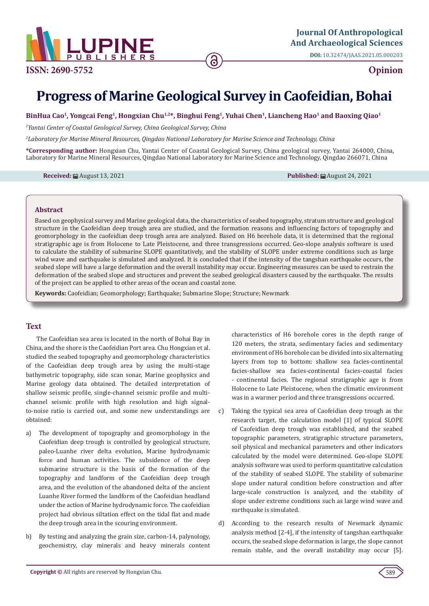

**DOI:** [10.32474/JAAS.2021.05.0002](http://dx.doi.org/10.32474/JAAS.2021.05.000203)03

# **Opinion**

# **Progress of Marine Geological Survey in Caofeidian, Bohai**

#### **BinHua Cao1, Yongcai Feng1, Hongxian Chu1,2\*, Binghui Feng1, Yuhai Chen1, Liancheng Hao1 and Baoxing Qiao1**

<sup>1</sup> Yantai Center of Coastal Geological Survey, China Geological Survey, China

*2 Laboratory for Marine Mineral Resources, Qingdao National Laboratory for Marine Science and Technology, China*

**\*Corresponding author:** Hongxian Chu, Yantai Center of Coastal Geological Survey, China geological survey, Yantai 264000, China, Laboratory for Marine Mineral Resources, Qingdao National Laboratory for Marine Science and Technology, Qingdao 266071, China

**Received:** August 13, 2021 **Published:** August 24, 2021

#### **Abstract**

Based on geophysical survey and Marine geological data, the characteristics of seabed topography, stratum structure and geological structure in the Caofeidian deep trough area are studied, and the formation reasons and influencing factors of topography and geomorphology in the caofeidian deep trough area are analyzed. Based on H6 borehole data, it is determined that the regional stratigraphic age is from Holocene to Late Pleistocene, and three transgressions occurred. Geo-slope analysis software is used to calculate the stability of submarine SLOPE quantitatively, and the stability of SLOPE under extreme conditions such as large wind wave and earthquake is simulated and analyzed. It is concluded that if the intensity of the tangshan earthquake occurs, the seabed slope will have a large deformation and the overall instability may occur. Engineering measures can be used to restrain the deformation of the seabed slope and structures and prevent the seabed geological disasters caused by the earthquake. The results of the project can be applied to other areas of the ocean and coastal zone.

**Keywords:** Caofeidian; Geomorphology; Earthquake; Submarine Slope; Structure; Newmark

## **Text**

The Caofeidian sea area is located in the north of Bohai Bay in China, and the shore is the Caofeidian Port area. Chu Hongxian et al. studied the seabed topography and geomorphology characteristics of the Caofeidian deep trough area by using the multi-stage bathymetric topography, side scan sonar, Marine geophysics and Marine geology data obtained. The detailed interpretation of shallow seismic profile, single-channel seismic profile and multichannel seismic profile with high resolution and high signalto-noise ratio is carried out, and some new understandings are obtained:

- a) The development of topography and geomorphology in the Caofeidian deep trough is controlled by geological structure, paleo-Luanhe river delta evolution, Marine hydrodynamic force and human activities. The subsidence of the deep submarine structure is the basis of the formation of the topography and landform of the Caofeidian deep trough area, and the evolution of the abandoned delta of the ancient Luanhe River formed the landform of the Caofeidian headland under the action of Marine hydrodynamic force. The caofeidian project had obvious siltation effect on the tidal flat and made the deep trough area in the scouring environment.
- b) By testing and analyzing the grain size, carbon-14, palynology, geochemistry, clay minerals and heavy minerals content

characteristics of H6 borehole cores in the depth range of 120 meters, the strata, sedimentary facies and sedimentary environment of H6 borehole can be divided into six alternating layers from top to bottom: shallow sea facies-continental facies-shallow sea facies-continental facies-coastal facies - continental facies. The regional stratigraphic age is from Holocene to Late Pleistocene, when the climatic environment was in a warmer period and three transgressions occurred.

- c) Taking the typical sea area of Caofeidian deep trough as the research target, the calculation model [1] of typical SLOPE of Caofeidian deep trough was established, and the seabed topographic parameters, stratigraphic structure parameters, soil physical and mechanical parameters and other indicators calculated by the model were determined. Geo-slope SLOPE analysis software was used to perform quantitative calculation of the stability of seabed SLOPE. The stability of submarine slope under natural condition before construction and after large-scale construction is analyzed, and the stability of slope under extreme conditions such as large wind wave and earthquake is simulated.
- d) According to the research results of Newmark dynamic analysis method [2-4], if the intensity of tangshan earthquake occurs, the seabed slope deformation is large, the slope cannot remain stable, and the overall instability may occur [5].